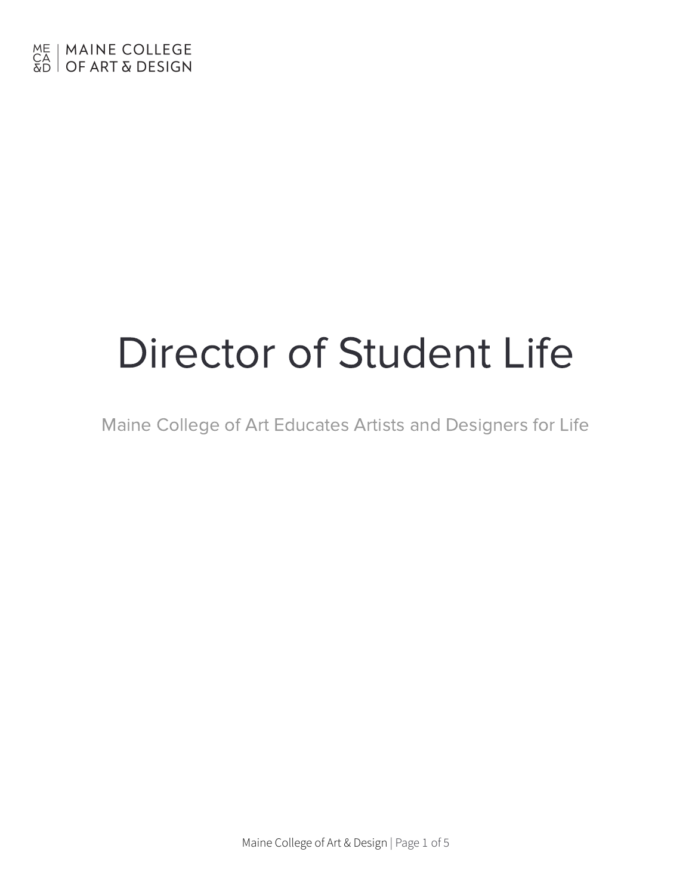# Director of Student Life

Maine College of Art Educates Artists and Designers for Life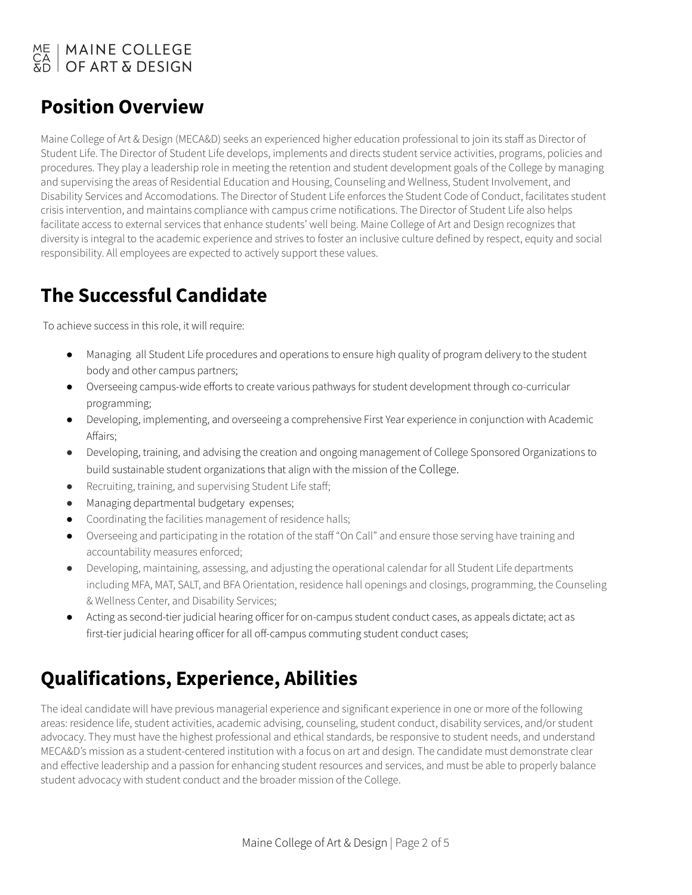## ME | MAINE COLLEGE<br>CA | OF ART & DESIGN

## **Position Overview**

Maine College of Art & Design (MECA&D) seeks an experienced higher education professional to join its staff as Director of Student Life. The Director of Student Life develops, implements and directs student service activities, programs, policies and procedures. They play a leadership role in meeting the retention and student development goals of the College by managing and supervising the areas of Residential Education and Housing, Counseling and Wellness, Student Involvement, and Disability Services and Accomodations. The Director of Student Life enforces the Student Code of Conduct, facilitates student crisis intervention, and maintains compliance with campus crime notifications. The Director of Student Life also helps facilitate access to external services that enhance students' well being. Maine College of Art and Design recognizes that diversity is integral to the academic experience and strives to foster an inclusive culture defined by respect, equity and social responsibility. All employees are expected to actively support these values.

## **The Successful Candidate**

To achieve success in this role, it will require:

- Managing all Student Life procedures and operations to ensure high quality of program delivery to the student body and other campus partners;
- Overseeing campus-wide efforts to create various pathways for student development through co-curricular programming;
- Developing, implementing, and overseeing a comprehensive First Year experience in conjunction with Academic Affairs;
- Developing, training, and advising the creation and ongoing management of College Sponsored Organizations to build sustainable student organizations that align with the mission of the College.
- Recruiting, training, and supervising Student Life staff;
- Managing departmental budgetary expenses;
- Coordinating the facilities management of residence halls;
- Overseeing and participating in the rotation of the staff "On Call" and ensure those serving have training and accountability measures enforced;
- Developing, maintaining, assessing, and adjusting the operational calendar for all Student Life departments including MFA, MAT, SALT, and BFA Orientation, residence hall openings and closings, programming, the Counseling & Wellness Center, and Disability Services;
- Acting as second-tier judicial hearing officer for on-campus student conduct cases, as appeals dictate; act as first-tier judicial hearing officer for all off-campus commuting student conduct cases;

## **Qualifications, Experience, Abilities**

The ideal candidate will have previous managerial experience and significant experience in one or more of the following areas: residence life, student activities, academic advising, counseling, student conduct, disability services, and/or student advocacy. They must have the highest professional and ethical standards, be responsive to student needs, and understand MECA&D's mission as a student-centered institution with a focus on art and design. The candidate must demonstrate clear and effective leadership and a passion for enhancing student resources and services, and must be able to properly balance student advocacy with student conduct and the broader mission of the College.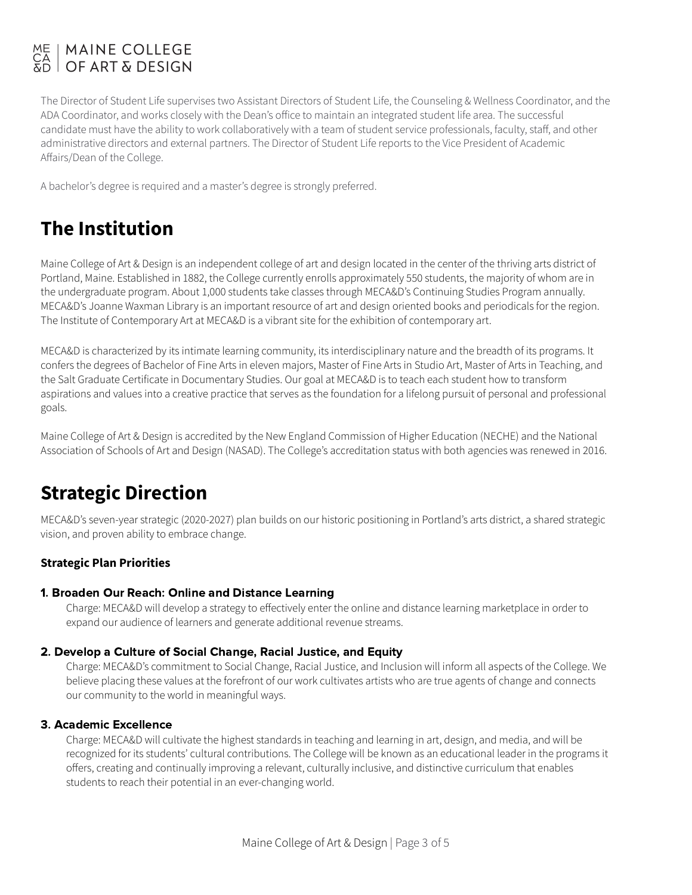## ME | MAINE COLLEGE<br>CA | OF ART & DESIGN

The Director of Student Life supervises two Assistant Directors of Student Life, the Counseling & Wellness Coordinator, and the ADA Coordinator, and works closely with the Dean's office to maintain an integrated student life area. The successful candidate must have the ability to work collaboratively with a team of student service professionals, faculty, staff, and other administrative directors and external partners. The Director of Student Life reports to the Vice President of Academic Affairs/Dean of the College.

A bachelor's degree is required and a master's degree is strongly preferred.

### **The Institution**

Maine College of Art & Design is an independent college of art and design located in the center of the thriving arts district of Portland, Maine. Established in 1882, the College currently enrolls approximately 550 students, the majority of whom are in the undergraduate program. About 1,000 students take classes through MECA&D's Continuing Studies Program annually. MECA&D's Joanne Waxman Library is an important resource of art and design oriented books and periodicals for the region. The Institute of Contemporary Art at MECA&D is a vibrant site for the exhibition of contemporary art.

MECA&D is characterized by its intimate learning community, its interdisciplinary nature and the breadth of its programs. It confers the degrees of Bachelor of Fine Arts in eleven majors, Master of Fine Arts in Studio Art, Master of Arts in Teaching, and the Salt Graduate Certificate in Documentary Studies. Our goal at MECA&D is to teach each student how to transform aspirations and values into a creative practice that serves as the foundation for a lifelong pursuit of personal and professional goals.

Maine College of Art & Design is accredited by the New England Commission of Higher Education (NECHE) and the National Association of Schools of Art and Design (NASAD). The College's accreditation status with both agencies was renewed in 2016.

## **Strategic Direction**

MECA&D's seven-year strategic (2020-2027) plan builds on our historic positioning in Portland's arts district, a shared strategic vision, and proven ability to embrace change.

#### **Strategic Plan Priorities**

#### 1. Broaden Our Reach: Online and Distance Learning

Charge: MECA&D will develop a strategy to effectively enter the online and distance learning marketplace in order to expand our audience of learners and generate additional revenue streams.

#### 2. Develop a Culture of Social Change, Racial Justice, and Equity

Charge: MECA&D's commitment to Social Change, Racial Justice, and Inclusion will inform all aspects of the College. We believe placing these values at the forefront of our work cultivates artists who are true agents of change and connects our community to the world in meaningful ways.

#### 3. Academic Excellence

Charge: MECA&D will cultivate the highest standards in teaching and learning in art, design, and media, and will be recognized for its students' cultural contributions. The College will be known as an educational leader in the programs it offers, creating and continually improving a relevant, culturally inclusive, and distinctive curriculum that enables students to reach their potential in an ever-changing world.